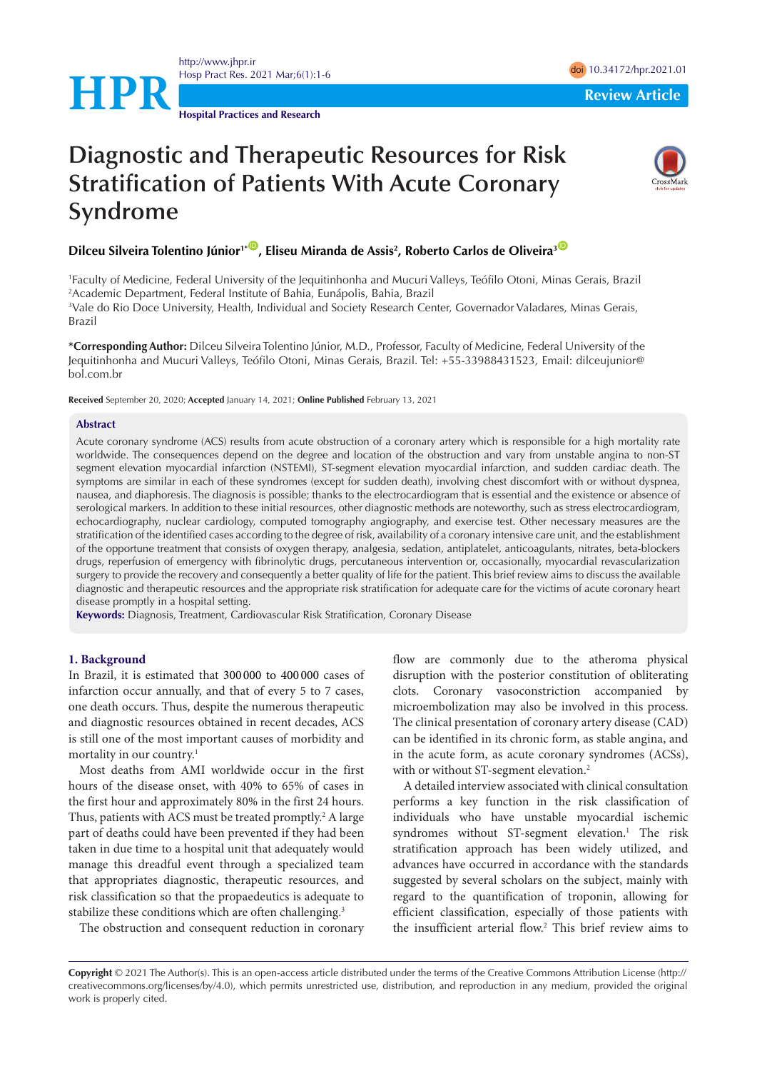<http://www.jhpr.ir> Hosp Pract Res. 2021 Mar;6(1):1-6 doi [10.34172/hpr.2021.01](https://doi.org/10.34172/hpr.2021.01)

**Hospital Practices and Research**

**HPR Review Article** 

# **Diagnostic and Therapeutic Resources for Risk Stratification of Patients With Acute Coronary Syndrome**



# Dilceu Silveira Tolentino Júnior<sup>1+</sup><sup>10</sup>, Eliseu Miranda de Assis<sup>2</sup>, Roberto Carlos de Oliveira<sup>30</sup>

1 Faculty of Medicine, Federal University of the Jequitinhonha and Mucuri Valleys, Teófilo Otoni, Minas Gerais, Brazil 2 Academic Department, Federal Institute of Bahia, Eunápolis, Bahia, Brazil

3 Vale do Rio Doce University, Health, Individual and Society Research Center, Governador Valadares, Minas Gerais, Brazil

**\*Corresponding Author:** Dilceu Silveira Tolentino Júnior, M.D., Professor, Faculty of Medicine, Federal University of the Jequitinhonha and Mucuri Valleys, Teófilo Otoni, Minas Gerais, Brazil. Tel: +55-33988431523, Email: dilceujunior@ bol.com.br

**Received** September 20, 2020; **Accepted** January 14, 2021; **Online Published** February 13, 2021

#### **Abstract**

Acute coronary syndrome (ACS) results from acute obstruction of a coronary artery which is responsible for a high mortality rate worldwide. The consequences depend on the degree and location of the obstruction and vary from unstable angina to non-ST segment elevation myocardial infarction (NSTEMI), ST-segment elevation myocardial infarction, and sudden cardiac death. The symptoms are similar in each of these syndromes (except for sudden death), involving chest discomfort with or without dyspnea, nausea, and diaphoresis. The diagnosis is possible; thanks to the electrocardiogram that is essential and the existence or absence of serological markers. In addition to these initial resources, other diagnostic methods are noteworthy, such as stress electrocardiogram, echocardiography, nuclear cardiology, computed tomography angiography, and exercise test. Other necessary measures are the stratification of the identified cases according to the degree of risk, availability of a coronary intensive care unit, and the establishment of the opportune treatment that consists of oxygen therapy, analgesia, sedation, antiplatelet, anticoagulants, nitrates, beta-blockers drugs, reperfusion of emergency with fibrinolytic drugs, percutaneous intervention or, occasionally, myocardial revascularization surgery to provide the recovery and consequently a better quality of life for the patient. This brief review aims to discuss the available diagnostic and therapeutic resources and the appropriate risk stratification for adequate care for the victims of acute coronary heart disease promptly in a hospital setting.

**Keywords:** Diagnosis, Treatment, Cardiovascular Risk Stratification, Coronary Disease

### **1. Background**

In Brazil, it is estimated that 300 000 to 400 000 cases of infarction occur annually, and that of every 5 to 7 cases, one death occurs. Thus, despite the numerous therapeutic and diagnostic resources obtained in recent decades, ACS is still one of the most important causes of morbidity and mortality in our country.1

Most deaths from AMI worldwide occur in the first hours of the disease onset, with 40% to 65% of cases in the first hour and approximately 80% in the first 24 hours. Thus, patients with ACS must be treated promptly.<sup>2</sup> A large part of deaths could have been prevented if they had been taken in due time to a hospital unit that adequately would manage this dreadful event through a specialized team that appropriates diagnostic, therapeutic resources, and risk classification so that the propaedeutics is adequate to stabilize these conditions which are often challenging.<sup>3</sup>

The obstruction and consequent reduction in coronary

flow are commonly due to the atheroma physical disruption with the posterior constitution of obliterating clots. Coronary vasoconstriction accompanied by microembolization may also be involved in this process. The clinical presentation of coronary artery disease (CAD) can be identified in its chronic form, as stable angina, and in the acute form, as acute coronary syndromes (ACSs), with or without ST-segment elevation.<sup>2</sup>

A detailed interview associated with clinical consultation performs a key function in the risk classification of individuals who have unstable myocardial ischemic syndromes without ST-segment elevation.<sup>1</sup> The risk stratification approach has been widely utilized, and advances have occurred in accordance with the standards suggested by several scholars on the subject, mainly with regard to the quantification of troponin, allowing for efficient classification, especially of those patients with the insufficient arterial flow.<sup>2</sup> This brief review aims to

**Copyright** © 2021 The Author(s). This is an open-access article distributed under the terms of the Creative Commons Attribution License (http:// creativecommons.org/licenses/by/4.0), which permits unrestricted use, distribution, and reproduction in any medium, provided the original work is properly cited.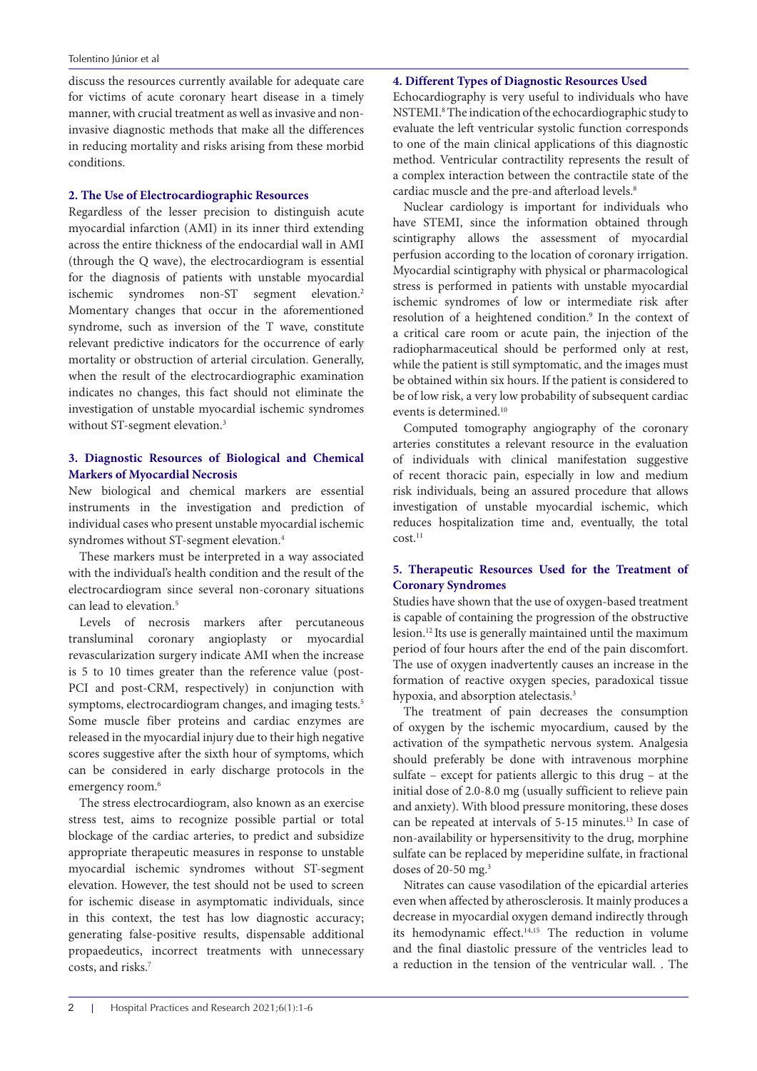#### Tolentino Júnior et al

discuss the resources currently available for adequate care for victims of acute coronary heart disease in a timely manner, with crucial treatment as well as invasive and noninvasive diagnostic methods that make all the differences in reducing mortality and risks arising from these morbid conditions.

## **2. The Use of Electrocardiographic Resources**

Regardless of the lesser precision to distinguish acute myocardial infarction (AMI) in its inner third extending across the entire thickness of the endocardial wall in AMI (through the Q wave), the electrocardiogram is essential for the diagnosis of patients with unstable myocardial ischemic syndromes non-ST segment elevation.<sup>2</sup> Momentary changes that occur in the aforementioned syndrome, such as inversion of the T wave, constitute relevant predictive indicators for the occurrence of early mortality or obstruction of arterial circulation. Generally, when the result of the electrocardiographic examination indicates no changes, this fact should not eliminate the investigation of unstable myocardial ischemic syndromes without ST-segment elevation.<sup>3</sup>

# **3. Diagnostic Resources of Biological and Chemical Markers of Myocardial Necrosis**

New biological and chemical markers are essential instruments in the investigation and prediction of individual cases who present unstable myocardial ischemic syndromes without ST-segment elevation.4

These markers must be interpreted in a way associated with the individual's health condition and the result of the electrocardiogram since several non-coronary situations can lead to elevation.<sup>5</sup>

Levels of necrosis markers after percutaneous transluminal coronary angioplasty or myocardial revascularization surgery indicate AMI when the increase is 5 to 10 times greater than the reference value (post-PCI and post-CRM, respectively) in conjunction with symptoms, electrocardiogram changes, and imaging tests.<sup>5</sup> Some muscle fiber proteins and cardiac enzymes are released in the myocardial injury due to their high negative scores suggestive after the sixth hour of symptoms, which can be considered in early discharge protocols in the emergency room.<sup>6</sup>

The stress electrocardiogram, also known as an exercise stress test, aims to recognize possible partial or total blockage of the cardiac arteries, to predict and subsidize appropriate therapeutic measures in response to unstable myocardial ischemic syndromes without ST-segment elevation. However, the test should not be used to screen for ischemic disease in asymptomatic individuals, since in this context, the test has low diagnostic accuracy; generating false-positive results, dispensable additional propaedeutics, incorrect treatments with unnecessary costs, and risks.7

## **4. Different Types of Diagnostic Resources Used**

Echocardiography is very useful to individuals who have NSTEMI.8 The indication of the echocardiographic study to evaluate the left ventricular systolic function corresponds to one of the main clinical applications of this diagnostic method. Ventricular contractility represents the result of a complex interaction between the contractile state of the cardiac muscle and the pre-and afterload levels.<sup>8</sup>

Nuclear cardiology is important for individuals who have STEMI, since the information obtained through scintigraphy allows the assessment of myocardial perfusion according to the location of coronary irrigation. Myocardial scintigraphy with physical or pharmacological stress is performed in patients with unstable myocardial ischemic syndromes of low or intermediate risk after resolution of a heightened condition.<sup>9</sup> In the context of a critical care room or acute pain, the injection of the radiopharmaceutical should be performed only at rest, while the patient is still symptomatic, and the images must be obtained within six hours. If the patient is considered to be of low risk, a very low probability of subsequent cardiac events is determined.10

Computed tomography angiography of the coronary arteries constitutes a relevant resource in the evaluation of individuals with clinical manifestation suggestive of recent thoracic pain, especially in low and medium risk individuals, being an assured procedure that allows investigation of unstable myocardial ischemic, which reduces hospitalization time and, eventually, the total cost.<sup>11</sup>

# **5. Therapeutic Resources Used for the Treatment of Coronary Syndromes**

Studies have shown that the use of oxygen-based treatment is capable of containing the progression of the obstructive lesion.12 Its use is generally maintained until the maximum period of four hours after the end of the pain discomfort. The use of oxygen inadvertently causes an increase in the formation of reactive oxygen species, paradoxical tissue hypoxia, and absorption atelectasis.<sup>3</sup>

The treatment of pain decreases the consumption of oxygen by the ischemic myocardium, caused by the activation of the sympathetic nervous system. Analgesia should preferably be done with intravenous morphine sulfate – except for patients allergic to this drug – at the initial dose of 2.0-8.0 mg (usually sufficient to relieve pain and anxiety). With blood pressure monitoring, these doses can be repeated at intervals of 5-15 minutes.<sup>13</sup> In case of non-availability or hypersensitivity to the drug, morphine sulfate can be replaced by meperidine sulfate, in fractional doses of 20-50 mg.3

Nitrates can cause vasodilation of the epicardial arteries even when affected by atherosclerosis. It mainly produces a decrease in myocardial oxygen demand indirectly through its hemodynamic effect.<sup>14,15</sup> The reduction in volume and the final diastolic pressure of the ventricles lead to a reduction in the tension of the ventricular wall. . The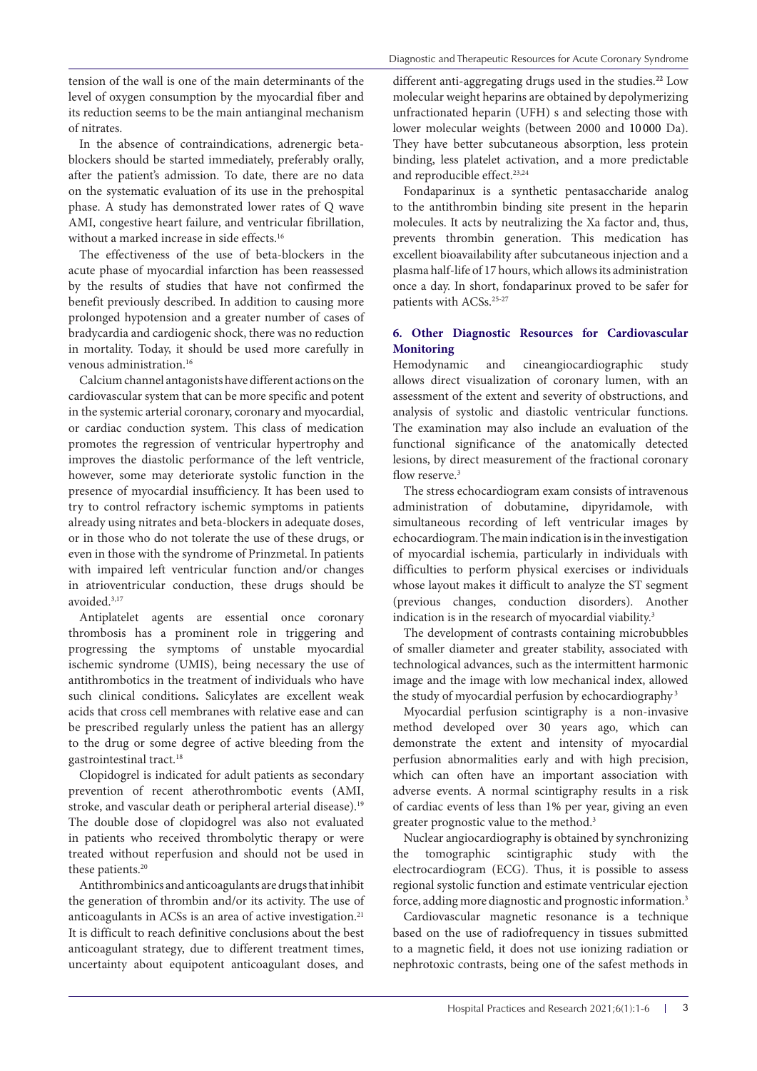tension of the wall is one of the main determinants of the level of oxygen consumption by the myocardial fiber and its reduction seems to be the main antianginal mechanism of nitrates.

In the absence of contraindications, adrenergic betablockers should be started immediately, preferably orally, after the patient's admission. To date, there are no data on the systematic evaluation of its use in the prehospital phase. A study has demonstrated lower rates of Q wave AMI, congestive heart failure, and ventricular fibrillation, without a marked increase in side effects.<sup>16</sup>

The effectiveness of the use of beta-blockers in the acute phase of myocardial infarction has been reassessed by the results of studies that have not confirmed the benefit previously described. In addition to causing more prolonged hypotension and a greater number of cases of bradycardia and cardiogenic shock, there was no reduction in mortality. Today, it should be used more carefully in venous administration.16

Calcium channel antagonistshave different actions on the cardiovascular system that can be more specific and potent in the systemic arterial coronary, coronary and myocardial, or cardiac conduction system. This class of medication promotes the regression of ventricular hypertrophy and improves the diastolic performance of the left ventricle, however, some may deteriorate systolic function in the presence of myocardial insufficiency. It has been used to try to control refractory ischemic symptoms in patients already using nitrates and beta-blockers in adequate doses, or in those who do not tolerate the use of these drugs, or even in those with the syndrome of Prinzmetal. In patients with impaired left ventricular function and/or changes in atrioventricular conduction, these drugs should be avoided.3,17

Antiplatelet agents are essential once coronary thrombosis has a prominent role in triggering and progressing the symptoms of unstable myocardial ischemic syndrome (UMIS), being necessary the use of antithrombotics in the treatment of individuals who have such clinical conditions**.** Salicylates are excellent weak acids that cross cell membranes with relative ease and can be prescribed regularly unless the patient has an allergy to the drug or some degree of active bleeding from the gastrointestinal tract.<sup>18</sup>

Clopidogrel is indicated for adult patients as secondary prevention of recent atherothrombotic events (AMI, stroke, and vascular death or peripheral arterial disease).<sup>19</sup> The double dose of clopidogrel was also not evaluated in patients who received thrombolytic therapy or were treated without reperfusion and should not be used in these patients.20

Antithrombinics andanticoagulants are drugs that inhibit the generation of thrombin and/or its activity. The use of anticoagulants in ACSs is an area of active investigation.<sup>21</sup> It is difficult to reach definitive conclusions about the best anticoagulant strategy, due to different treatment times, uncertainty about equipotent anticoagulant doses, and

different anti-aggregating drugs used in the studies.**<sup>22</sup>** Low molecular weight heparins are obtained by depolymerizing unfractionated heparin (UFH) s and selecting those with lower molecular weights (between 2000 and 10 000 Da). They have better subcutaneous absorption, less protein binding, less platelet activation, and a more predictable and reproducible effect.<sup>23,24</sup>

Fondaparinux is a synthetic pentasaccharide analog to the antithrombin binding site present in the heparin molecules. It acts by neutralizing the Xa factor and, thus, prevents thrombin generation. This medication has excellent bioavailability after subcutaneous injection and a plasma half-life of 17 hours, which allows its administration once a day. In short, fondaparinux proved to be safer for patients with ACSs.<sup>25-27</sup>

# **6. Other Diagnostic Resources for Cardiovascular Monitoring**

Hemodynamic and cineangiocardiographic study allows direct visualization of coronary lumen, with an assessment of the extent and severity of obstructions, and analysis of systolic and diastolic ventricular functions. The examination may also include an evaluation of the functional significance of the anatomically detected lesions, by direct measurement of the fractional coronary flow reserve.<sup>3</sup>

The stress echocardiogram exam consists of intravenous administration of dobutamine, dipyridamole, with simultaneous recording of left ventricular images by echocardiogram. The main indication is in the investigation of myocardial ischemia, particularly in individuals with difficulties to perform physical exercises or individuals whose layout makes it difficult to analyze the ST segment (previous changes, conduction disorders). Another indication is in the research of myocardial viability.<sup>3</sup>

The development of contrasts containing microbubbles of smaller diameter and greater stability, associated with technological advances, such as the intermittent harmonic image and the image with low mechanical index, allowed the study of myocardial perfusion by echocardiography<sup>3</sup>

Myocardial perfusion scintigraphy is a non-invasive method developed over 30 years ago, which can demonstrate the extent and intensity of myocardial perfusion abnormalities early and with high precision, which can often have an important association with adverse events. A normal scintigraphy results in a risk of cardiac events of less than 1% per year, giving an even greater prognostic value to the method.3

Nuclear angiocardiography is obtained by synchronizing the tomographic scintigraphic study with the electrocardiogram (ECG). Thus, it is possible to assess regional systolic function and estimate ventricular ejection force, adding more diagnostic and prognostic information.3

Cardiovascular magnetic resonance is a technique based on the use of radiofrequency in tissues submitted to a magnetic field, it does not use ionizing radiation or nephrotoxic contrasts, being one of the safest methods in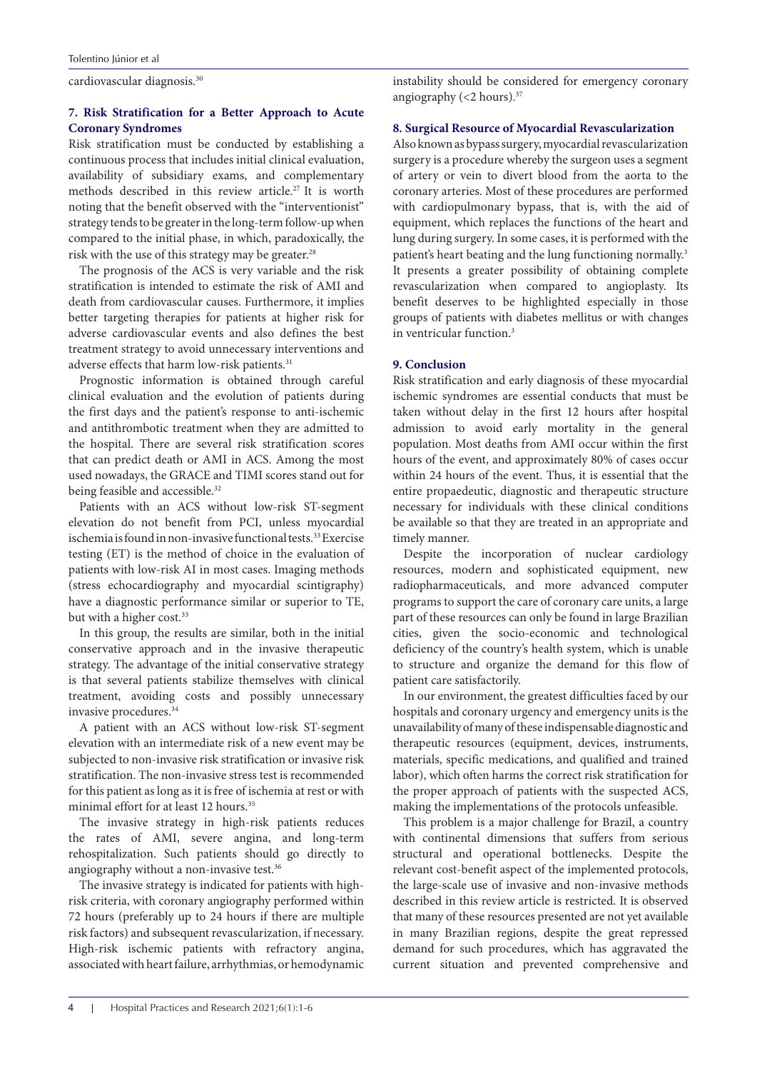cardiovascular diagnosis.30

# **7. Risk Stratification for a Better Approach to Acute Coronary Syndromes**

Risk stratification must be conducted by establishing a continuous process that includes initial clinical evaluation, availability of subsidiary exams, and complementary methods described in this review article.27 It is worth noting that the benefit observed with the "interventionist" strategy tends to be greater in the long-term follow-up when compared to the initial phase, in which, paradoxically, the risk with the use of this strategy may be greater.<sup>28</sup>

The prognosis of the ACS is very variable and the risk stratification is intended to estimate the risk of AMI and death from cardiovascular causes. Furthermore, it implies better targeting therapies for patients at higher risk for adverse cardiovascular events and also defines the best treatment strategy to avoid unnecessary interventions and adverse effects that harm low-risk patients.<sup>31</sup>

Prognostic information is obtained through careful clinical evaluation and the evolution of patients during the first days and the patient's response to anti-ischemic and antithrombotic treatment when they are admitted to the hospital. There are several risk stratification scores that can predict death or AMI in ACS. Among the most used nowadays, the GRACE and TIMI scores stand out for being feasible and accessible.<sup>32</sup>

Patients with an ACS without low-risk ST-segment elevation do not benefit from PCI, unless myocardial ischemia is found in non-invasive functional tests.<sup>33</sup> Exercise testing (ET) is the method of choice in the evaluation of patients with low-risk AI in most cases. Imaging methods (stress echocardiography and myocardial scintigraphy) have a diagnostic performance similar or superior to TE, but with a higher cost.<sup>33</sup>

In this group, the results are similar, both in the initial conservative approach and in the invasive therapeutic strategy. The advantage of the initial conservative strategy is that several patients stabilize themselves with clinical treatment, avoiding costs and possibly unnecessary invasive procedures.34

A patient with an ACS without low-risk ST-segment elevation with an intermediate risk of a new event may be subjected to non-invasive risk stratification or invasive risk stratification. The non-invasive stress test is recommended for this patient as long as it is free of ischemia at rest or with minimal effort for at least 12 hours.<sup>35</sup>

The invasive strategy in high-risk patients reduces the rates of AMI, severe angina, and long-term rehospitalization. Such patients should go directly to angiography without a non-invasive test.<sup>36</sup>

The invasive strategy is indicated for patients with highrisk criteria, with coronary angiography performed within 72 hours (preferably up to 24 hours if there are multiple risk factors) and subsequent revascularization, if necessary. High-risk ischemic patients with refractory angina, associated with heart failure, arrhythmias, or hemodynamic

instability should be considered for emergency coronary angiography ( $<$ 2 hours).<sup>37</sup>

## **8. Surgical Resource of Myocardial Revascularization**

Also known as bypass surgery, myocardial revascularization surgery is a procedure whereby the surgeon uses a segment of artery or vein to divert blood from the aorta to the coronary arteries. Most of these procedures are performed with cardiopulmonary bypass, that is, with the aid of equipment, which replaces the functions of the heart and lung during surgery. In some cases, it is performed with the patient's heart beating and the lung functioning normally.<sup>3</sup> It presents a greater possibility of obtaining complete revascularization when compared to angioplasty. Its benefit deserves to be highlighted especially in those groups of patients with diabetes mellitus or with changes in ventricular function.3

## **9. Conclusion**

Risk stratification and early diagnosis of these myocardial ischemic syndromes are essential conducts that must be taken without delay in the first 12 hours after hospital admission to avoid early mortality in the general population. Most deaths from AMI occur within the first hours of the event, and approximately 80% of cases occur within 24 hours of the event. Thus, it is essential that the entire propaedeutic, diagnostic and therapeutic structure necessary for individuals with these clinical conditions be available so that they are treated in an appropriate and timely manner.

Despite the incorporation of nuclear cardiology resources, modern and sophisticated equipment, new radiopharmaceuticals, and more advanced computer programs to support the care of coronary care units, a large part of these resources can only be found in large Brazilian cities, given the socio-economic and technological deficiency of the country's health system, which is unable to structure and organize the demand for this flow of patient care satisfactorily.

In our environment, the greatest difficulties faced by our hospitals and coronary urgency and emergency units is the unavailability of many of these indispensable diagnostic and therapeutic resources (equipment, devices, instruments, materials, specific medications, and qualified and trained labor), which often harms the correct risk stratification for the proper approach of patients with the suspected ACS, making the implementations of the protocols unfeasible.

This problem is a major challenge for Brazil, a country with continental dimensions that suffers from serious structural and operational bottlenecks. Despite the relevant cost-benefit aspect of the implemented protocols, the large-scale use of invasive and non-invasive methods described in this review article is restricted. It is observed that many of these resources presented are not yet available in many Brazilian regions, despite the great repressed demand for such procedures, which has aggravated the current situation and prevented comprehensive and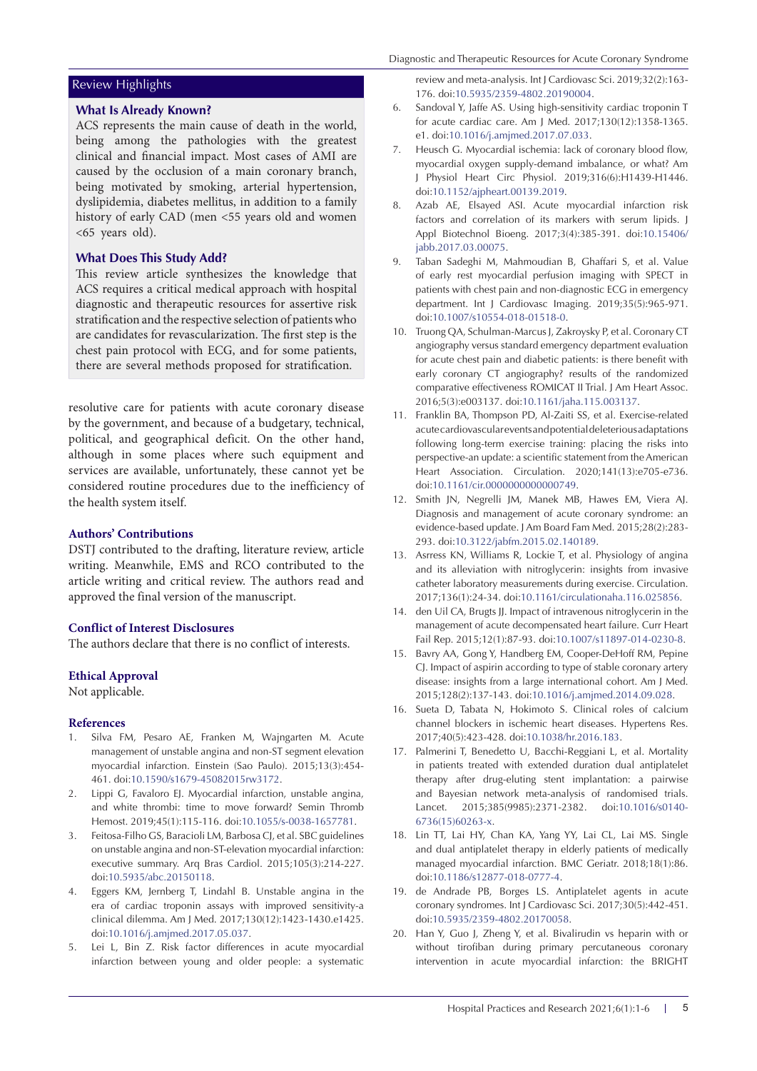# Review Highlights

#### **What Is Already Known?**

ACS represents the main cause of death in the world, being among the pathologies with the greatest clinical and financial impact. Most cases of AMI are caused by the occlusion of a main coronary branch, being motivated by smoking, arterial hypertension, dyslipidemia, diabetes mellitus, in addition to a family history of early CAD (men <55 years old and women <65 years old).

## **What Does This Study Add?**

This review article synthesizes the knowledge that ACS requires a critical medical approach with hospital diagnostic and therapeutic resources for assertive risk stratification and the respective selection of patients who are candidates for revascularization. The first step is the chest pain protocol with ECG, and for some patients, there are several methods proposed for stratification.

resolutive care for patients with acute coronary disease by the government, and because of a budgetary, technical, political, and geographical deficit. On the other hand, although in some places where such equipment and services are available, unfortunately, these cannot yet be considered routine procedures due to the inefficiency of the health system itself.

#### **Authors' Contributions**

DSTJ contributed to the drafting, literature review, article writing. Meanwhile, EMS and RCO contributed to the article writing and critical review. The authors read and approved the final version of the manuscript.

#### **Conflict of Interest Disclosures**

The authors declare that there is no conflict of interests.

## **Ethical Approval**

Not applicable.

#### **References**

- 1. Silva FM, Pesaro AE, Franken M, Wajngarten M. Acute management of unstable angina and non-ST segment elevation myocardial infarction. Einstein (Sao Paulo). 2015;13(3):454- 461. doi:[10.1590/s1679-45082015rw3172.](https://doi.org/10.1590/s1679-45082015rw3172)
- 2. Lippi G, Favaloro EJ. Myocardial infarction, unstable angina, and white thrombi: time to move forward? Semin Thromb Hemost. 2019;45(1):115-116. doi[:10.1055/s-0038-1657781.](https://doi.org/10.1055/s-0038-1657781)
- 3. Feitosa-Filho GS, Baracioli LM, Barbosa CJ, et al. SBC guidelines on unstable angina and non-ST-elevation myocardial infarction: executive summary. Arq Bras Cardiol. 2015;105(3):214-227. doi[:10.5935/abc.20150118.](https://doi.org/10.5935/abc.20150118)
- 4. Eggers KM, Jernberg T, Lindahl B. Unstable angina in the era of cardiac troponin assays with improved sensitivity-a clinical dilemma. Am J Med. 2017;130(12):1423-1430.e1425. doi[:10.1016/j.amjmed.2017.05.037](https://doi.org/10.1016/j.amjmed.2017.05.037).
- 5. Lei L, Bin Z. Risk factor differences in acute myocardial infarction between young and older people: a systematic

review and meta-analysis. Int J Cardiovasc Sci. 2019;32(2):163- 176. doi[:10.5935/2359-4802.20190004](https://doi.org/10.5935/2359-4802.20190004).

- 6. Sandoval Y, Jaffe AS. Using high-sensitivity cardiac troponin T for acute cardiac care. Am J Med. 2017;130(12):1358-1365. e1. doi[:10.1016/j.amjmed.2017.07.033.](https://doi.org/10.1016/j.amjmed.2017.07.033)
- 7. Heusch G. Myocardial ischemia: lack of coronary blood flow, myocardial oxygen supply-demand imbalance, or what? Am J Physiol Heart Circ Physiol. 2019;316(6):H1439-H1446. doi[:10.1152/ajpheart.00139.2019.](https://doi.org/10.1152/ajpheart.00139.2019)
- 8. Azab AE, Elsayed ASI. Acute myocardial infarction risk factors and correlation of its markers with serum lipids. J Appl Biotechnol Bioeng. 2017;3(4):385-391. doi:[10.15406/](https://doi.org/10.15406/jabb.2017.03.00075) [jabb.2017.03.00075.](https://doi.org/10.15406/jabb.2017.03.00075)
- 9. Taban Sadeghi M, Mahmoudian B, Ghaffari S, et al. Value of early rest myocardial perfusion imaging with SPECT in patients with chest pain and non-diagnostic ECG in emergency department. Int J Cardiovasc Imaging. 2019;35(5):965-971. doi[:10.1007/s10554-018-01518-0.](https://doi.org/10.1007/s10554-018-01518-0)
- 10. Truong QA, Schulman-Marcus J, Zakroysky P, et al. Coronary CT angiography versus standard emergency department evaluation for acute chest pain and diabetic patients: is there benefit with early coronary CT angiography? results of the randomized comparative effectiveness ROMICAT II Trial. J Am Heart Assoc. 2016;5(3):e003137. doi[:10.1161/jaha.115.003137](https://doi.org/10.1161/jaha.115.003137).
- 11. Franklin BA, Thompson PD, Al-Zaiti SS, et al. Exercise-related acute cardiovascular events and potential deleterious adaptations following long-term exercise training: placing the risks into perspective-an update: a scientific statement from the American Heart Association. Circulation. 2020;141(13):e705-e736. doi[:10.1161/cir.0000000000000749](https://doi.org/10.1161/cir.0000000000000749).
- 12. Smith JN, Negrelli JM, Manek MB, Hawes EM, Viera AJ. Diagnosis and management of acute coronary syndrome: an evidence-based update. J Am Board Fam Med. 2015;28(2):283- 293. doi[:10.3122/jabfm.2015.02.140189.](https://doi.org/10.3122/jabfm.2015.02.140189)
- 13. Asrress KN, Williams R, Lockie T, et al. Physiology of angina and its alleviation with nitroglycerin: insights from invasive catheter laboratory measurements during exercise. Circulation. 2017;136(1):24-34. doi:[10.1161/circulationaha.116.025856.](https://doi.org/10.1161/circulationaha.116.025856)
- 14. den Uil CA, Brugts JJ. Impact of intravenous nitroglycerin in the management of acute decompensated heart failure. Curr Heart Fail Rep. 2015;12(1):87-93. doi[:10.1007/s11897-014-0230-8](https://doi.org/10.1007/s11897-014-0230-8).
- 15. Bavry AA, Gong Y, Handberg EM, Cooper-DeHoff RM, Pepine CJ. Impact of aspirin according to type of stable coronary artery disease: insights from a large international cohort. Am J Med. 2015;128(2):137-143. doi:[10.1016/j.amjmed.2014.09.028.](https://doi.org/10.1016/j.amjmed.2014.09.028)
- 16. Sueta D, Tabata N, Hokimoto S. Clinical roles of calcium channel blockers in ischemic heart diseases. Hypertens Res. 2017;40(5):423-428. doi[:10.1038/hr.2016.183](https://doi.org/10.1038/hr.2016.183).
- 17. Palmerini T, Benedetto U, Bacchi-Reggiani L, et al. Mortality in patients treated with extended duration dual antiplatelet therapy after drug-eluting stent implantation: a pairwise and Bayesian network meta-analysis of randomised trials. Lancet. 2015;385(9985):2371-2382. doi:[10.1016/s0140-](https://doi.org/10.1016/s0140-6736(15)60263-x) [6736\(15\)60263-x](https://doi.org/10.1016/s0140-6736(15)60263-x).
- 18. Lin TT, Lai HY, Chan KA, Yang YY, Lai CL, Lai MS. Single and dual antiplatelet therapy in elderly patients of medically managed myocardial infarction. BMC Geriatr. 2018;18(1):86. doi[:10.1186/s12877-018-0777-4](https://doi.org/10.1186/s12877-018-0777-4).
- 19. de Andrade PB, Borges LS. Antiplatelet agents in acute coronary syndromes. Int J Cardiovasc Sci. 2017;30(5):442-451. doi[:10.5935/2359-4802.20170058.](https://doi.org/10.5935/2359-4802.20170058)
- 20. Han Y, Guo J, Zheng Y, et al. Bivalirudin vs heparin with or without tirofiban during primary percutaneous coronary intervention in acute myocardial infarction: the BRIGHT